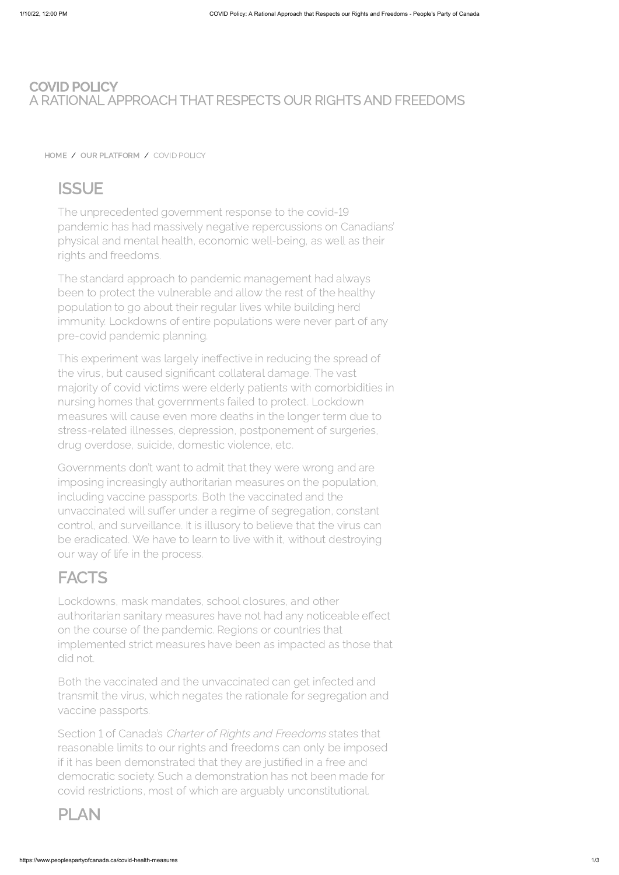## COVID POLICY A RATIONAL APPROACH THAT RESPECTS OUR RIGHTS AND FREEDOMS

[HOME](https://www.peoplespartyofcanada.ca/) / OUR [PLATFORM](https://www.peoplespartyofcanada.ca/platform) / COVID POLICY

# **ISSUE**

The unprecedented government response to the covid pandemic has had massively negative repercussions on Canadians' physical and mental health, economic well-being, as well as their rights and freedoms.

The standard approach to pandemic management had always been to protect the vulnerable and allow the rest of the healthy population to go about their regular lives while building herd immunity. Lockdowns of entire populations were never part of any pre-covid pandemic planning.

This experiment was largely ineffective in reducing the spread of the virus, but caused significant collateral damage. The vast majority of covid victims were elderly patients with comorbidities in nursing homes that governments failed to protect. Lockdown measures will cause even more deaths in the longer term due to stress-related illnesses, depression, postponement of surgeries, drug overdose, suicide, domestic violence, etc.

Section 1 of Canada's Charter of Rights and Freedoms states that reasonable limits to our rights and freedoms can only be imposed if it has been demonstrated that they are justified in a free and democratic society. Such a demonstration has not been made for covid restrictions, most of which are arguably unconstitutional.

Governments don't want to admit that they were wrong and are imposing increasingly authoritarian measures on the population, including vaccine passports. Both the vaccinated and the unvaccinated will suffer under a regime of segregation, constant control, and surveillance. It is illusory to believe that the virus can be eradicated. We have to learn to live with it, without destroying our way of life in the process.

# **FACTS**

Lockdowns, mask mandates, school closures, and other authoritarian sanitary measures have not had any noticeable effect on the course of the pandemic. Regions or countries that implemented strict measures have been as impacted as those that did not.

Both the vaccinated and the unvaccinated can get infected and transmit the virus, which negates the rationale for segregation and vaccine passports.

## PLAN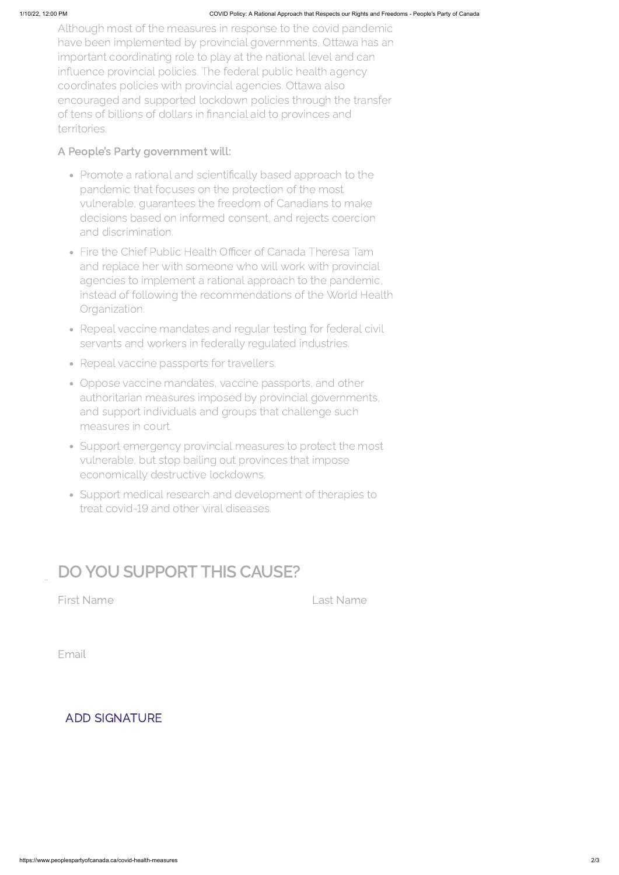Although most of the measures in response to the covid pandemic have been implemented by provincial governments, Ottawa has an important coordinating role to play at the national level and can influence provincial policies. The federal public health agency coordinates policies with provincial agencies. Ottawa also encouraged and supported lockdown policies through the transfer of tens of billions of dollars in financial aid to provinces and territories.

## A People's Party government will:

- Promote a rational and scientifically based approach to the pandemic that focuses on the protection of the most vulnerable, guarantees the freedom of Canadians to make decisions based on informed consent, and rejects coercion and discrimination.
- Fire the Chief Public Health Officer of Canada Theresa Tam and replace her with someone who will work with provincial agencies to implement a rational approach to the pandemic, instead of following the recommendations of the World Health Organization.
- Repeal vaccine mandates and regular testing for federal civil servants and workers in federally regulated industries.
- Repeal vaccine passports for travellers.
- Oppose vaccine mandates, vaccine passports, and other authoritarian measures imposed by provincial governments, and support individuals and groups that challenge such measures in court.
- Support emergency provincial measures to protect the most vulnerable, but stop bailing out provinces that impose economically destructive lockdowns.
- Support medical research and development of therapies to treat covid-19 and other viral diseases.

# DO YOU SUPPORT THIS CAUSE?

First Name Last Name

Email

### ADD SIGNATURE